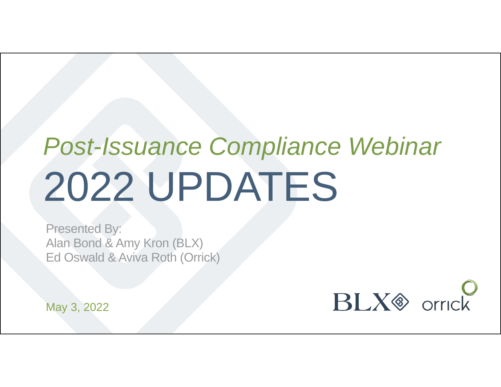# *Post-Issuance Compliance Webinar* 2022 UPDATES

Presented By: Alan Bond & Amy Kron (BLX) Ed Oswald & Aviva Roth (Orrick)

 $BLX$  orrick

May 3, 2022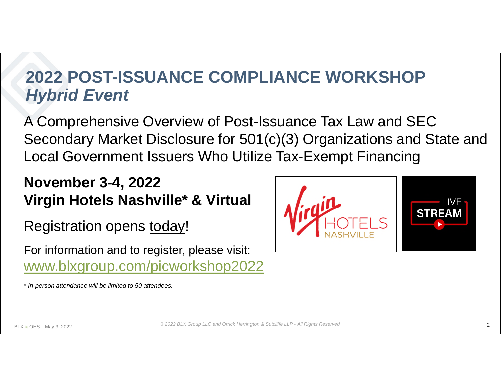#### **2022 POST-ISSUANCE COMPLIANCE WORKSHOP** *Hybrid Event*

A Comprehensive Overview of Post-Issuance Tax Law and SEC Secondary Market Disclosure for 501(c)(3) Organizations and State and Local Government Issuers Who Utilize Tax-Exempt Financing

#### **November 3-4, 2022 Virgin Hotels Nashville\* & Virtual**

Registration opens today!

For information and to register, please visit: www.blxgroup.com/picworkshop2022



\* *In-person attendance will be limited to 50 attendees.*

*© 2022 BLX Group LLC and Orrick Herrington & Sutcliffe LLP - All Rights Reserved*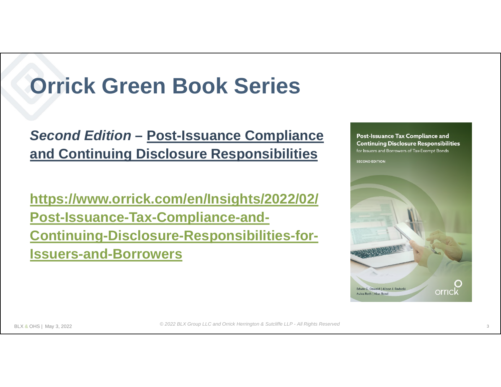# **Orrick Green Book Series**

*Second Edition* **– Post-Issuance Compliance and Continuing Disclosure Responsibilities**

**https://www.orrick.com/en/Insights/2022/02/ Post-Issuance-Tax-Compliance-and-Continuing-Disclosure-Responsibilities-for-Issuers-and-Borrowers**

Post-Issuance Tax Compliance and **Continuing Disclosure Responsibilities** for Issuers and Borrowers of Tax-Exempt Bonds **SECOND EDITION** Edwin G. Oswald | Alison J. Radecki orricl Aviva Roth | Alan Bond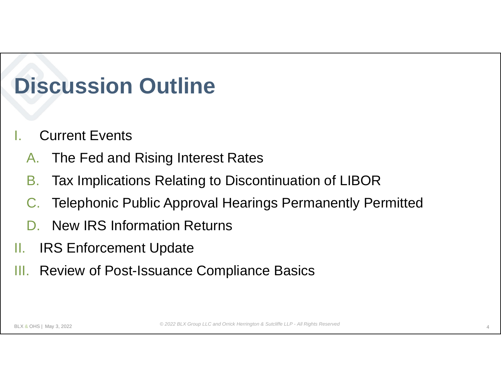# **Discussion Outline**

- **Current Events** 
	- A. The Fed and Rising Interest Rates
	- B. Tax Implications Relating to Discontinuation of LIBOR
	- C. Telephonic Public Approval Hearings Permanently Permitted
	- D. New IRS Information Returns
- II. IRS Enforcement Update
- III. Review of Post-Issuance Compliance Basics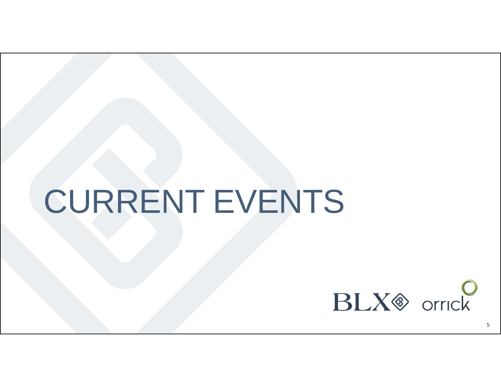# CURRENT EVENTS

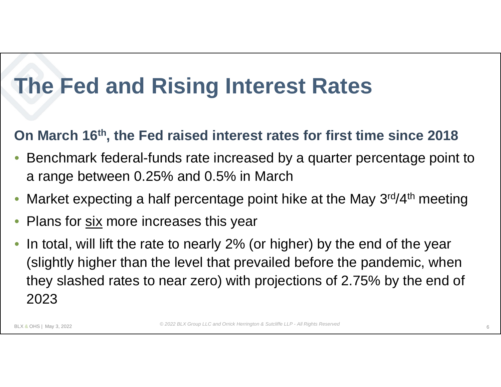#### **On March 16th, the Fed raised interest rates for first time since 2018**

- Benchmark federal-funds rate increased by a quarter percentage point to a range between 0.25% and 0.5% in March
- Market expecting a half percentage point hike at the May 3<sup>rd</sup>/4<sup>th</sup> meeting
- Plans for six more increases this year
- In total, will lift the rate to nearly 2% (or higher) by the end of the year (slightly higher than the level that prevailed before the pandemic, when they slashed rates to near zero) with projections of 2.75% by the end of 2023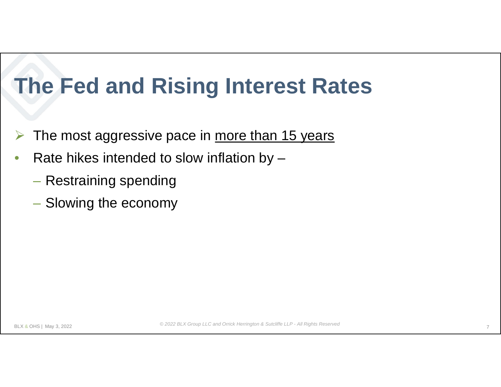- The most aggressive pace in more than 15 years
- Rate hikes intended to slow inflation by  $-$ 
	- Restraining spending
	- Slowing the economy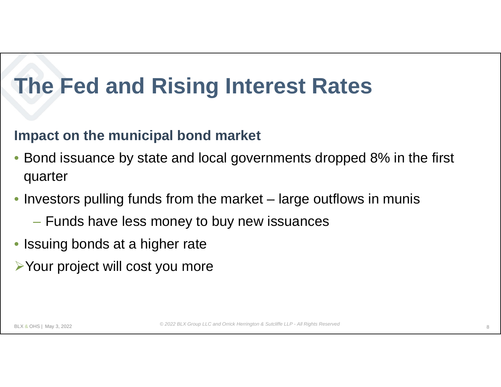#### **Impact on the municipal bond market**

- Bond issuance by state and local governments dropped 8% in the first quarter
- Investors pulling funds from the market large outflows in munis
	- Funds have less money to buy new issuances
- Issuing bonds at a higher rate
- Your project will cost you more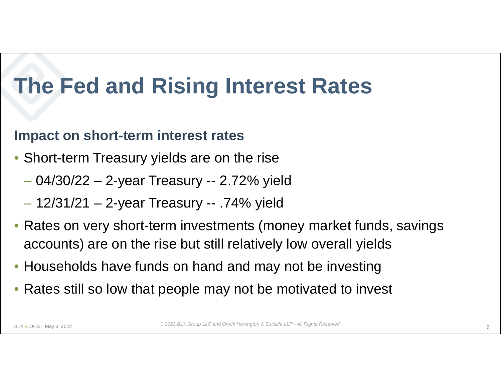#### **Impact on short-term interest rates**

- Short-term Treasury yields are on the rise
	- 04/30/22 2-year Treasury -- 2.72% yield
	- 12/31/21 2-year Treasury -- .74% yield
- Rates on very short-term investments (money market funds, savings accounts) are on the rise but still relatively low overall yields
- Households have funds on hand and may not be investing
- Rates still so low that people may not be motivated to invest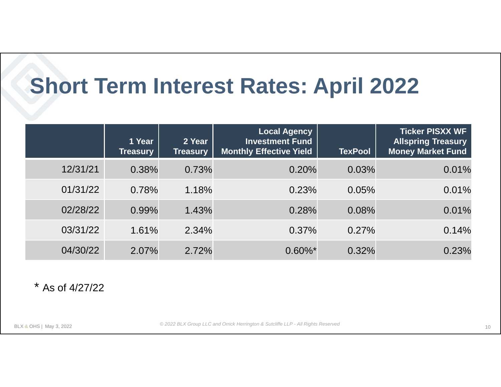# **Short Term Interest Rates: April 2022**

|          | 1 Year<br><b>Treasury</b> | 2 Year<br><b>Treasury</b> | <b>Local Agency</b><br><b>Investment Fund</b><br><b>Monthly Effective Yield</b> | <b>TexPool</b> | <b>Ticker PISXX WF</b><br><b>Allspring Treasury</b><br><b>Money Market Fund</b> |
|----------|---------------------------|---------------------------|---------------------------------------------------------------------------------|----------------|---------------------------------------------------------------------------------|
| 12/31/21 | 0.38%                     | 0.73%                     | 0.20%                                                                           | 0.03%          | 0.01%                                                                           |
| 01/31/22 | 0.78%                     | 1.18%                     | 0.23%                                                                           | 0.05%          | 0.01%                                                                           |
| 02/28/22 | 0.99%                     | 1.43%                     | 0.28%                                                                           | 0.08%          | 0.01%                                                                           |
| 03/31/22 | 1.61%                     | 2.34%                     | 0.37%                                                                           | 0.27%          | 0.14%                                                                           |
| 04/30/22 | 2.07%                     | 2.72%                     | $0.60\%$ *                                                                      | 0.32%          | 0.23%                                                                           |

\* As of 4/27/22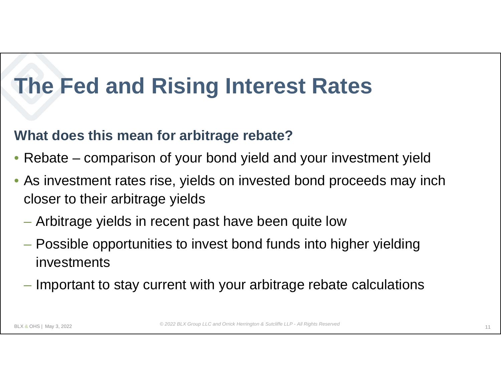#### **What does this mean for arbitrage rebate?**

- Rebate comparison of your bond yield and your investment yield
- As investment rates rise, yields on invested bond proceeds may inch closer to their arbitrage yields
	- Arbitrage yields in recent past have been quite low
	- Possible opportunities to invest bond funds into higher yielding investments
	- Important to stay current with your arbitrage rebate calculations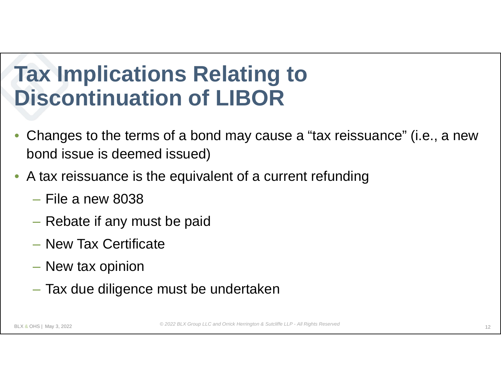- Changes to the terms of a bond may cause a "tax reissuance" (i.e., a new bond issue is deemed issued)
- A tax reissuance is the equivalent of a current refunding
	- $-$  File a new 8038
	- ‒ Rebate if any must be paid
	- ‒ New Tax Certificate
	- New tax opinion
	- ‒ Tax due diligence must be undertaken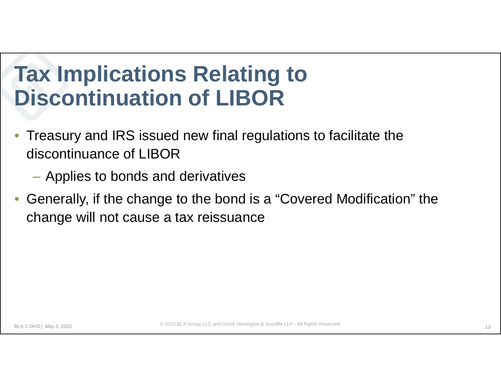- Treasury and IRS issued new final regulations to facilitate the discontinuance of LIBOR
	- ‒ Applies to bonds and derivatives
- Generally, if the change to the bond is a "Covered Modification" the change will not cause a tax reissuance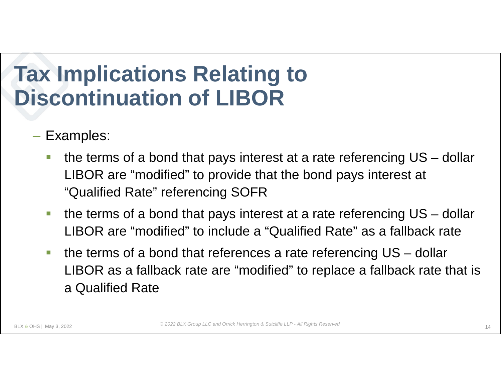- ‒ Examples:
	- the terms of a bond that pays interest at a rate referencing US dollar LIBOR are "modified" to provide that the bond pays interest at "Qualified Rate" referencing SOFR
	- the terms of a bond that pays interest at a rate referencing US dollar LIBOR are "modified" to include a "Qualified Rate" as a fallback rate
	- **the terms of a bond that references a rate referencing US dollar** LIBOR as a fallback rate are "modified" to replace a fallback rate that is a Qualified Rate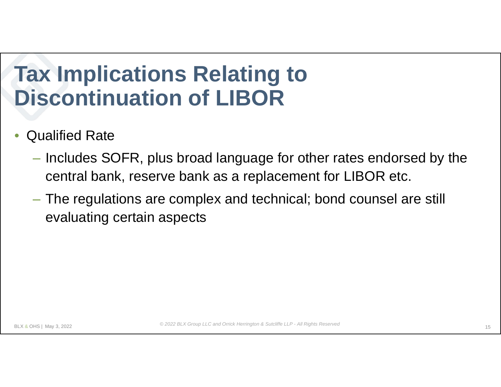- Qualified Rate
	- ‒ Includes SOFR, plus broad language for other rates endorsed by the central bank, reserve bank as a replacement for LIBOR etc.
	- ‒ The regulations are complex and technical; bond counsel are still evaluating certain aspects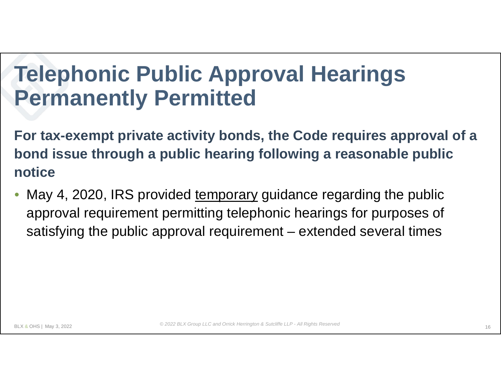### **Telephonic Public Approval Hearings Permanently Permitted**

**For tax-exempt private activity bonds, the Code requires approval of a bond issue through a public hearing following a reasonable public notice**

May 4, 2020, IRS provided temporary guidance regarding the public approval requirement permitting telephonic hearings for purposes of satisfying the public approval requirement – extended several times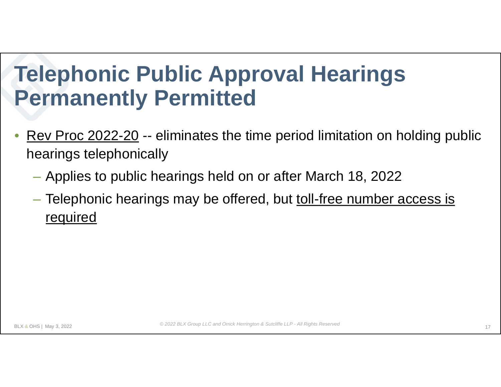### **Telephonic Public Approval Hearings Permanently Permitted**

- Rev Proc 2022-20 -- eliminates the time period limitation on holding public hearings telephonically
	- Applies to public hearings held on or after March 18, 2022
	- Telephonic hearings may be offered, but toll-free number access is required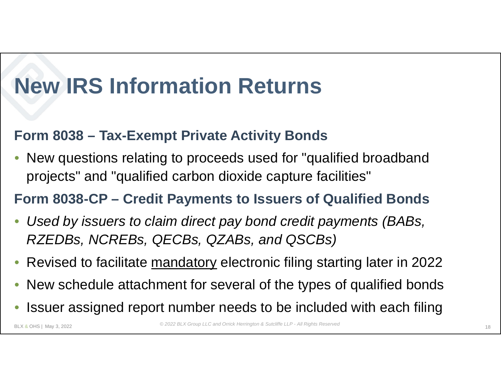# **New IRS Information Returns**

#### **Form 8038 – Tax-Exempt Private Activity Bonds**

• New questions relating to proceeds used for "qualified broadband projects" and "qualified carbon dioxide capture facilities"

#### **Form 8038-CP – Credit Payments to Issuers of Qualified Bonds**

- *Used by issuers to claim direct pay bond credit payments (BABs, RZEDBs, NCREBs, QECBs, QZABs, and QSCBs)*
- Revised to facilitate mandatory electronic filing starting later in 2022
- New schedule attachment for several of the types of qualified bonds
- Issuer assigned report number needs to be included with each filing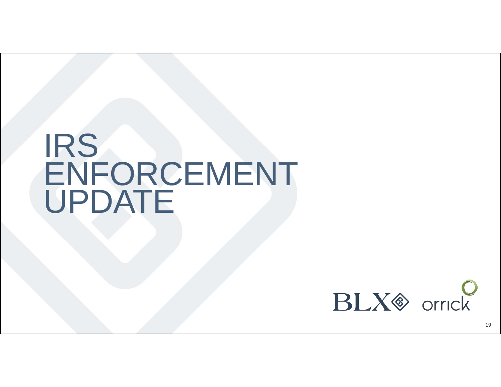# IRS ENFORCEMENT UPDATE



19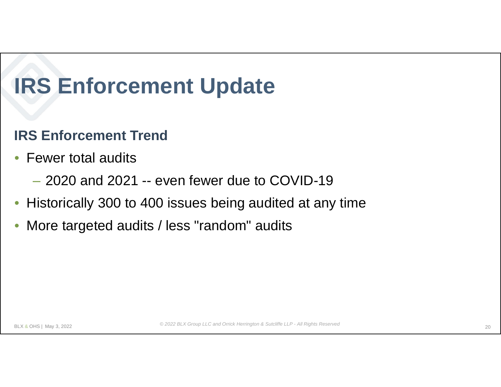#### **IRS Enforcement Trend**

- Fewer total audits
	- ‒ 2020 and 2021 -- even fewer due to COVID-19
- Historically 300 to 400 issues being audited at any time
- More targeted audits / less "random" audits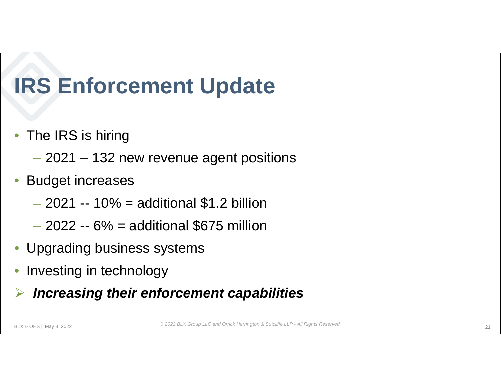- The IRS is hiring
	- 2021 132 new revenue agent positions
- Budget increases
	- $-2021 10\% =$  additional \$1.2 billion
	- $-2022 6% =$  additional \$675 million
- Upgrading business systems
- Investing in technology
- *Increasing their enforcement capabilities*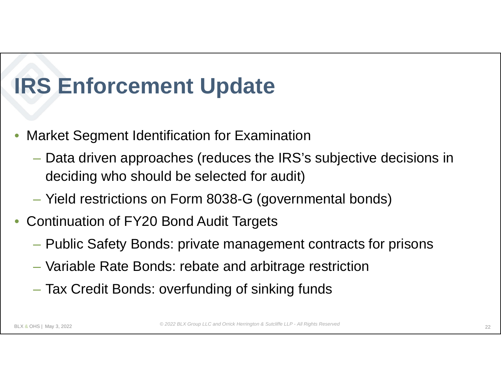- Market Segment Identification for Examination
	- Data driven approaches (reduces the IRS's subjective decisions in deciding who should be selected for audit)
	- Yield restrictions on Form 8038-G (governmental bonds)
- Continuation of FY20 Bond Audit Targets
	- Public Safety Bonds: private management contracts for prisons
	- Variable Rate Bonds: rebate and arbitrage restriction
	- Tax Credit Bonds: overfunding of sinking funds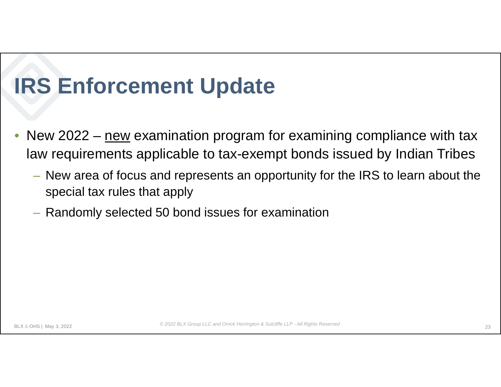- New 2022  $n$ ew examination program for examining compliance with tax law requirements applicable to tax-exempt bonds issued by Indian Tribes
	- New area of focus and represents an opportunity for the IRS to learn about the special tax rules that apply
	- Randomly selected 50 bond issues for examination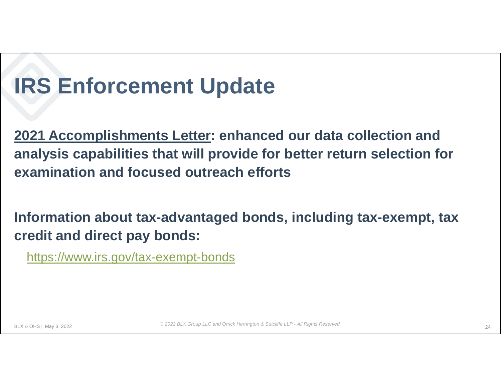**2021 Accomplishments Letter: enhanced our data collection and analysis capabilities that will provide for better return selection for examination and focused outreach efforts**

**Information about tax-advantaged bonds, including tax-exempt, tax credit and direct pay bonds:**

https://www.irs.gov/tax-exempt-bonds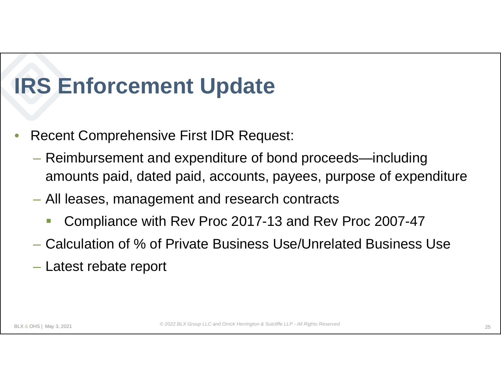- Recent Comprehensive First IDR Request:
	- Reimbursement and expenditure of bond proceeds—including amounts paid, dated paid, accounts, payees, purpose of expenditure
	- All leases, management and research contracts
		- Compliance with Rev Proc 2017-13 and Rev Proc 2007-47
	- Calculation of % of Private Business Use/Unrelated Business Use
	- Latest rebate report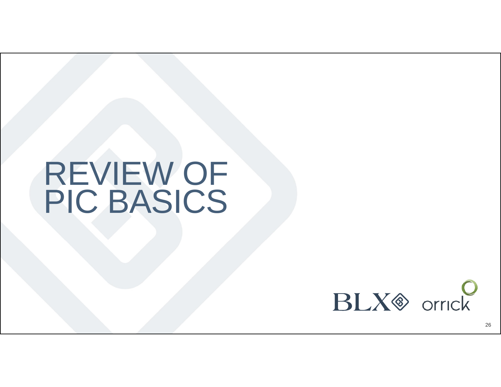# REVIEW OF PIC BASICS



26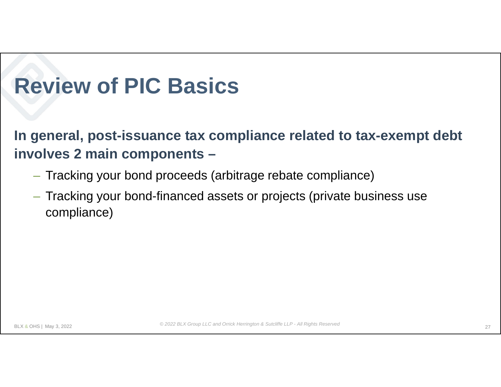**In general, post-issuance tax compliance related to tax-exempt debt involves 2 main components –**

- Tracking your bond proceeds (arbitrage rebate compliance)
- Tracking your bond-financed assets or projects (private business use compliance)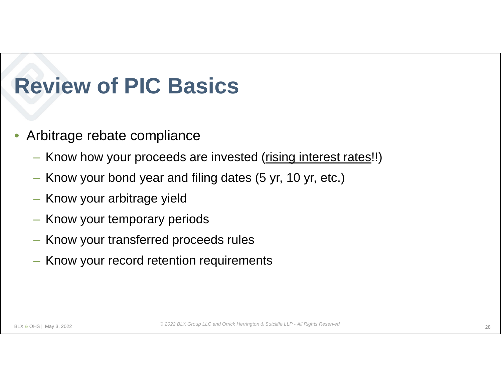- Arbitrage rebate compliance
	- Know how your proceeds are invested (rising interest rates!!)
	- Know your bond year and filing dates (5 yr, 10 yr, etc.)
	- Know your arbitrage yield
	- Know your temporary periods
	- Know your transferred proceeds rules
	- Know your record retention requirements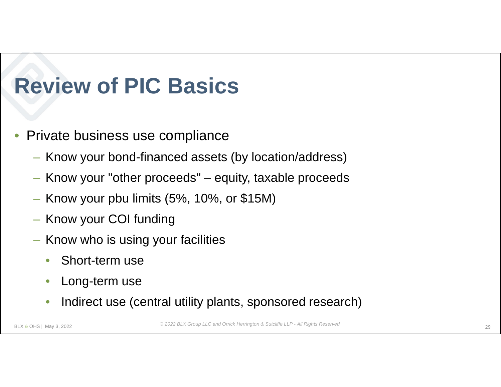- Private business use compliance
	- Know your bond-financed assets (by location/address)
	- Know your "other proceeds" equity, taxable proceeds
	- Know your pbu limits (5%, 10%, or \$15M)
	- Know your COI funding
	- Know who is using your facilities
		- Short-term use
		- Long-term use
		- Indirect use (central utility plants, sponsored research)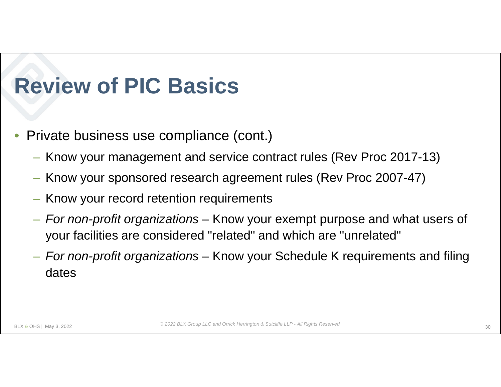- Private business use compliance (cont.)
	- Know your management and service contract rules (Rev Proc 2017-13)
	- Know your sponsored research agreement rules (Rev Proc 2007-47)
	- Know your record retention requirements
	- *For non-profit organizations*  Know your exempt purpose and what users of your facilities are considered "related" and which are "unrelated"
	- *For non-profit organizations*  Know your Schedule K requirements and filing dates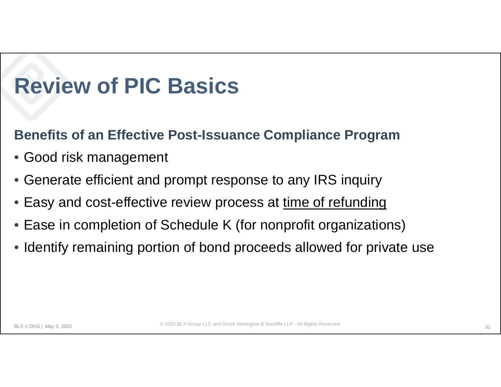#### **Benefits of an Effective Post-Issuance Compliance Program**

- Good risk management
- Generate efficient and prompt response to any IRS inquiry
- Easy and cost-effective review process at time of refunding
- Ease in completion of Schedule K (for nonprofit organizations)
- Identify remaining portion of bond proceeds allowed for private use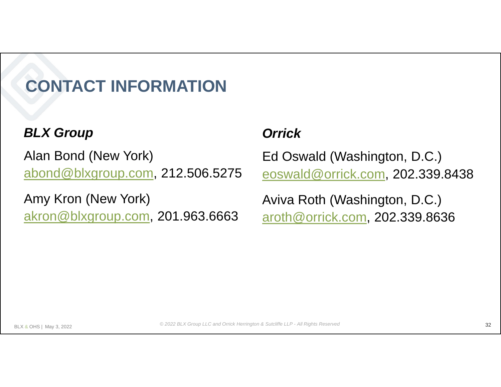### **CONTACT INFORMATION**

#### *BLX Group*

Alan Bond (New York) abond@blxgroup.com, 212.506.5275

Amy Kron (New York) akron@blxgroup.com, 201.963.6663

#### *Orrick*

Ed Oswald (Washington, D.C.) eoswald@orrick.com, 202.339.8438

Aviva Roth (Washington, D.C.) aroth@orrick.com, 202.339.8636

*© 2022 BLX Group LLC and Orrick Herrington & Sutcliffe LLP - All Rights Reserved*